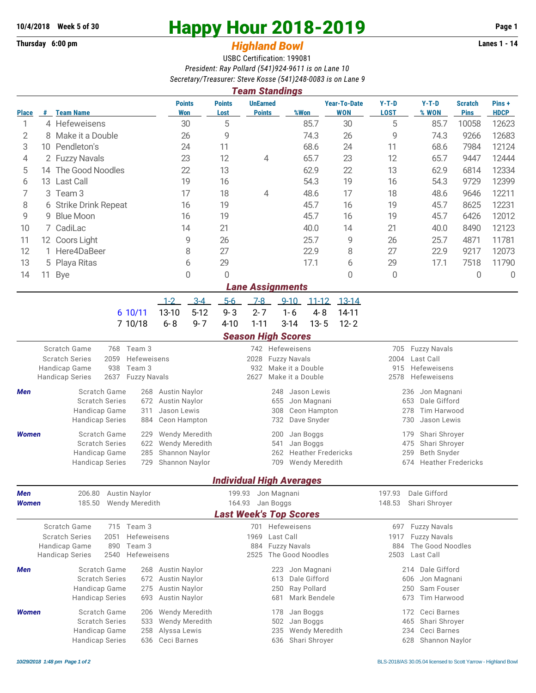## **Thursday 6:00 pm** *Highland Bowl*

## **10/4/2018** Week 5 of 30<br>
Thursday 6:00 pm<br> **Happy Hour 2018-2019 Page 1**<br> **Highland Rowl**

## USBC Certification: 199081 *President: Ray Pollard (541)924-9611 is on Lane 10 Secretary/Treasurer: Steve Kosse (541)248-0083 is on Lane 9*

|                               | <b>Team Standings</b>  |                                                                                         |                                              |                                               |                                         |                                      |                                              |                                           |                     |                               |                      |  |  |
|-------------------------------|------------------------|-----------------------------------------------------------------------------------------|----------------------------------------------|-----------------------------------------------|-----------------------------------------|--------------------------------------|----------------------------------------------|-------------------------------------------|---------------------|-------------------------------|----------------------|--|--|
| <b>Place</b>                  | #                      | <b>Team Name</b>                                                                        | <b>Points</b><br><b>Won</b>                  | <b>Points</b><br>Lost                         | <b>UnEarned</b><br><b>Points</b>        | %Won                                 | <b>Year-To-Date</b><br><b>WON</b>            | $Y-T-D$<br><b>LOST</b>                    | $Y-T-D$<br>% WON    | <b>Scratch</b><br><b>Pins</b> | Pins+<br><b>HDCP</b> |  |  |
| 1                             |                        | 4 Hefeweisens                                                                           | 30                                           | 5                                             |                                         | 85.7                                 | 30                                           |                                           | 85.7                | 10058                         | 12623                |  |  |
| 2                             | 8                      | Make it a Double<br>26                                                                  |                                              |                                               |                                         | 74.3                                 | 26                                           | 9                                         | 74.3                | 9266                          | 12683                |  |  |
| 3                             |                        | 10 Pendleton's                                                                          | 24                                           | 11                                            |                                         | 68.6                                 | 24                                           | 11                                        | 68.6                | 7984                          | 12124                |  |  |
| 4                             | 2 Fuzzy Navals         |                                                                                         | 23                                           | 12                                            | 4                                       | 65.7                                 | 23                                           | 12                                        | 65.7                | 9447                          | 12444                |  |  |
| 5                             | The Good Noodles<br>14 |                                                                                         | 22                                           | 13                                            |                                         | 62.9                                 | 22                                           | 13                                        | 62.9                | 6814                          | 12334                |  |  |
| 6                             | 13 Last Call           |                                                                                         | 19                                           | 16                                            |                                         | 54.3                                 | 19                                           | 16                                        | 54.3                | 9729                          | 12399                |  |  |
| 7                             | Team 3<br>3            |                                                                                         | 17                                           | 18                                            | 4                                       | 48.6                                 | 17                                           | 18                                        | 48.6                | 9646                          | 12211                |  |  |
| 8                             |                        | 6 Strike Drink Repeat                                                                   | 16                                           | 19                                            |                                         | 45.7<br>16                           |                                              | 19                                        | 45.7                | 8625                          | 12231                |  |  |
| 9                             | 9                      | <b>Blue Moon</b>                                                                        | 16                                           | 19                                            |                                         | 45.7                                 | 16                                           | 19                                        | 45.7                | 6426                          | 12012                |  |  |
| 10                            |                        | 7 CadiLac                                                                               | 14                                           | 21                                            |                                         | 40.0                                 | 14                                           | 21                                        | 40.0                | 8490                          | 12123                |  |  |
| 11                            |                        | 12 Coors Light                                                                          | 9                                            | 26                                            |                                         | 25.7<br>9                            |                                              | 26                                        | 25.7                | 4871                          | 11781                |  |  |
| 12                            | 1.                     | Here4DaBeer                                                                             | 8                                            | 27                                            |                                         | 22.9                                 | 8                                            | 27                                        | 22.9                | 9217                          | 12073                |  |  |
| 13                            | 5                      | Playa Ritas                                                                             | 6                                            | 29                                            |                                         | 17.1                                 | 6                                            | 29                                        | 17.1                | 7518                          | 11790                |  |  |
| 14                            | 11                     | $\mathbf 0$<br><b>Bye</b>                                                               |                                              | 0                                             |                                         |                                      | 0                                            | 0                                         |                     | 0                             | 0                    |  |  |
| <b>Lane Assignments</b>       |                        |                                                                                         |                                              |                                               |                                         |                                      |                                              |                                           |                     |                               |                      |  |  |
|                               |                        |                                                                                         | $3-4$<br>$1 - 2$                             | $5-6$                                         | $7-8$                                   | $9 - 10$<br>$11 - 12$                | $13 - 14$                                    |                                           |                     |                               |                      |  |  |
|                               |                        | 6 10/11                                                                                 | 13-10<br>$5 - 12$                            | $9 - 3$                                       | $2 - 7$                                 | $1 - 6$<br>$4 - 8$                   | 14-11                                        |                                           |                     |                               |                      |  |  |
|                               |                        | 7 10/18                                                                                 | $6 - 8$<br>$9 - 7$                           | $4 - 10$                                      | $1 - 11$                                | $3 - 14$<br>$13 - 5$                 | $12 - 2$                                     |                                           |                     |                               |                      |  |  |
|                               |                        |                                                                                         |                                              |                                               | <b>Season High Scores</b>               |                                      |                                              |                                           |                     |                               |                      |  |  |
| Scratch Game<br>768<br>Team 3 |                        |                                                                                         |                                              |                                               |                                         | 742 Hefeweisens                      |                                              | <b>Fuzzy Navals</b><br>705                |                     |                               |                      |  |  |
|                               |                        | <b>Scratch Series</b><br>2059<br>Hefeweisens                                            |                                              |                                               | 2028                                    | <b>Fuzzy Navals</b>                  |                                              | Last Call<br>2004                         |                     |                               |                      |  |  |
|                               |                        | 938<br>Handicap Game<br>Team 3<br>2637<br><b>Handicap Series</b><br><b>Fuzzy Navals</b> |                                              |                                               | 932<br>2627                             | Make it a Double<br>Make it a Double |                                              | 915<br>Hefeweisens<br>2578<br>Hefeweisens |                     |                               |                      |  |  |
|                               |                        |                                                                                         |                                              |                                               |                                         |                                      |                                              |                                           |                     |                               |                      |  |  |
| Men                           |                        | Scratch Game<br>268<br><b>Scratch Series</b><br>672                                     | <b>Austin Naylor</b><br><b>Austin Naylor</b> |                                               | 248<br>655                              | Jason Lewis<br>Jon Magnani           |                                              | 236<br>Jon Magnani<br>Dale Gifford<br>653 |                     |                               |                      |  |  |
|                               |                        | Handicap Game<br>311                                                                    | Jason Lewis                                  |                                               | 308                                     | Ceon Hampton                         |                                              | Tim Harwood<br>278                        |                     |                               |                      |  |  |
|                               |                        | <b>Handicap Series</b><br>884                                                           | Ceon Hampton                                 |                                               | 732                                     | Dave Snyder                          |                                              | 730<br>Jason Lewis                        |                     |                               |                      |  |  |
| <b>Women</b>                  |                        | Scratch Game<br>229                                                                     | Wendy Meredith                               |                                               | 200                                     | Jan Boggs                            |                                              | Shari Shroyer<br>179                      |                     |                               |                      |  |  |
|                               |                        | <b>Scratch Series</b><br>622                                                            | Wendy Meredith                               |                                               | 541                                     | Jan Boggs                            |                                              | 475<br>Shari Shroyer                      |                     |                               |                      |  |  |
|                               |                        | Handicap Game<br>285                                                                    | Shannon Naylor                               |                                               | 262                                     |                                      | <b>Heather Fredericks</b>                    | 259<br>Beth Snyder                        |                     |                               |                      |  |  |
|                               |                        | <b>Handicap Series</b><br>729                                                           | Shannon Naylor                               |                                               | 709                                     | <b>Wendy Meredith</b>                |                                              | <b>Heather Fredericks</b><br>674          |                     |                               |                      |  |  |
|                               |                        |                                                                                         |                                              |                                               |                                         | <b>Individual High Averages</b>      |                                              |                                           |                     |                               |                      |  |  |
| Men                           |                        | 206.80<br><b>Austin Naylor</b>                                                          |                                              | 199.93                                        | Jon Magnani                             |                                      |                                              | 197.93<br>Dale Gifford                    |                     |                               |                      |  |  |
| <b>Women</b>                  |                        | Wendy Meredith<br>185.50                                                                | 164.93                                       | Jan Boggs                                     |                                         |                                      | 148.53<br>Shari Shroyer                      |                                           |                     |                               |                      |  |  |
|                               |                        |                                                                                         |                                              |                                               |                                         | <b>Last Week's Top Scores</b>        |                                              |                                           |                     |                               |                      |  |  |
|                               |                        | Scratch Game<br>715 Team 3                                                              |                                              |                                               |                                         | 701 Hefeweisens                      |                                              | 697                                       | <b>Fuzzy Navals</b> |                               |                      |  |  |
|                               |                        | 2051<br>Hefeweisens<br><b>Scratch Series</b>                                            |                                              |                                               | 1969                                    | Last Call                            |                                              | <b>Fuzzy Navals</b><br>1917               |                     |                               |                      |  |  |
|                               |                        | Handicap Game<br>890<br>Team 3<br><b>Handicap Series</b><br>2540<br>Hefeweisens         |                                              | 884<br>2525                                   | <b>Fuzzy Navals</b><br>The Good Noodles |                                      | The Good Noodles<br>884<br>2503<br>Last Call |                                           |                     |                               |                      |  |  |
|                               |                        |                                                                                         |                                              |                                               |                                         |                                      |                                              |                                           |                     |                               |                      |  |  |
| Men                           |                        | Scratch Game<br><b>Scratch Series</b>                                                   | 268 Austin Naylor<br>672 Austin Naylor       |                                               | 223<br>613                              | Jon Magnani<br>Dale Gifford          |                                              | Dale Gifford<br>214<br>Jon Magnani<br>606 |                     |                               |                      |  |  |
|                               |                        | Handicap Game<br>275                                                                    | Austin Naylor                                |                                               | 250                                     | Ray Pollard                          |                                              | Sam Fouser<br>250                         |                     |                               |                      |  |  |
|                               |                        | <b>Handicap Series</b><br>693                                                           | Austin Naylor                                |                                               | 681                                     | Mark Bendele                         |                                              | Tim Harwood<br>673                        |                     |                               |                      |  |  |
| <b>Women</b>                  |                        | <b>Scratch Game</b><br>Wendy Meredith<br>206                                            |                                              |                                               | 178                                     | Jan Boggs                            |                                              | Ceci Barnes<br>172                        |                     |                               |                      |  |  |
|                               |                        | <b>Scratch Series</b><br>533                                                            | Wendy Meredith                               |                                               | 502                                     | Jan Boggs                            |                                              | 465<br>Shari Shroyer                      |                     |                               |                      |  |  |
|                               |                        | Handicap Game<br>258                                                                    | Alyssa Lewis                                 | Ceci Barnes<br>Wendy Meredith<br>234<br>235   |                                         |                                      |                                              |                                           |                     |                               |                      |  |  |
|                               |                        | <b>Handicap Series</b><br>636                                                           | Ceci Barnes                                  | Shari Shroyer<br>Shannon Naylor<br>636<br>628 |                                         |                                      |                                              |                                           |                     |                               |                      |  |  |